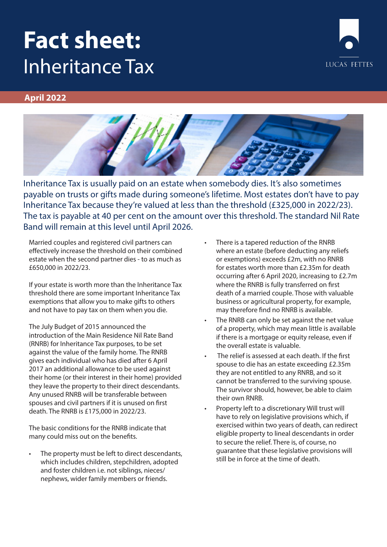# **Fact sheet:** Inheritance Tax



## **April 2022**



Inheritance Tax is usually paid on an estate when somebody dies. It's also sometimes payable on trusts or gifts made during someone's lifetime. Most estates don't have to pay Inheritance Tax because they're valued at less than the threshold (£325,000 in 2022/23). The tax is payable at 40 per cent on the amount over this threshold. The standard Nil Rate Band will remain at this level until April 2026.

Married couples and registered civil partners can effectively increase the threshold on their combined estate when the second partner dies - to as much as £650,000 in 2022/23.

If your estate is worth more than the Inheritance Tax threshold there are some important Inheritance Tax exemptions that allow you to make gifts to others and not have to pay tax on them when you die.

The July Budget of 2015 announced the introduction of the Main Residence Nil Rate Band (RNRB) for Inheritance Tax purposes, to be set against the value of the family home. The RNRB gives each individual who has died after 6 April 2017 an additional allowance to be used against their home (or their interest in their home) provided they leave the property to their direct descendants. Any unused RNRB will be transferable between spouses and civil partners if it is unused on first death. The RNRB is £175,000 in 2022/23.

The basic conditions for the RNRB indicate that many could miss out on the benefits.

The property must be left to direct descendants, which includes children, stepchildren, adopted and foster children i.e. not siblings, nieces/ nephews, wider family members or friends.

- There is a tapered reduction of the RNRB where an estate (before deducting any reliefs or exemptions) exceeds £2m, with no RNRB for estates worth more than £2.35m for death occurring after 6 April 2020, increasing to £2.7m where the RNRB is fully transferred on first death of a married couple. Those with valuable business or agricultural property, for example, may therefore find no RNRB is available.
- The RNRB can only be set against the net value of a property, which may mean little is available if there is a mortgage or equity release, even if the overall estate is valuable.
- The relief is assessed at each death. If the first spouse to die has an estate exceeding £2.35m they are not entitled to any RNRB, and so it cannot be transferred to the surviving spouse. The survivor should, however, be able to claim their own RNRB.
- Property left to a discretionary Will trust will have to rely on legislative provisions which, if exercised within two years of death, can redirect eligible property to lineal descendants in order to secure the relief. There is, of course, no guarantee that these legislative provisions will still be in force at the time of death.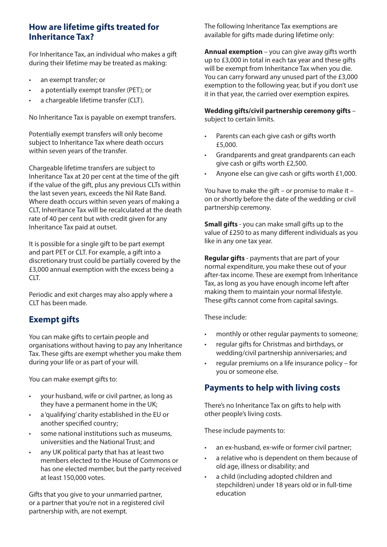## **How are lifetime gifts treated for Inheritance Tax?**

For Inheritance Tax, an individual who makes a gift during their lifetime may be treated as making:

- an exempt transfer; or
- a potentially exempt transfer (PET); or
- a chargeable lifetime transfer (CLT).

No Inheritance Tax is payable on exempt transfers.

Potentially exempt transfers will only become subject to Inheritance Tax where death occurs within seven years of the transfer.

Chargeable lifetime transfers are subject to Inheritance Tax at 20 per cent at the time of the gift if the value of the gift, plus any previous CLTs within the last seven years, exceeds the Nil Rate Band. Where death occurs within seven years of making a CLT, Inheritance Tax will be recalculated at the death rate of 40 per cent but with credit given for any Inheritance Tax paid at outset.

It is possible for a single gift to be part exempt and part PET or CLT. For example, a gift into a discretionary trust could be partially covered by the £3,000 annual exemption with the excess being a CLT.

Periodic and exit charges may also apply where a CLT has been made.

# **Exempt gifts**

You can make gifts to certain people and organisations without having to pay any Inheritance Tax. These gifts are exempt whether you make them during your life or as part of your will.

You can make exempt gifts to:

- your husband, wife or civil partner, as long as they have a permanent home in the UK;
- a 'qualifying' charity established in the EU or another specified country;
- some national institutions such as museums, universities and the National Trust; and
- any UK political party that has at least two members elected to the House of Commons or has one elected member, but the party received at least 150,000 votes.

Gifts that you give to your unmarried partner, or a partner that you're not in a registered civil partnership with, are not exempt.

The following Inheritance Tax exemptions are available for gifts made during lifetime only:

**Annual exemption** – you can give away gifts worth up to £3,000 in total in each tax year and these gifts will be exempt from Inheritance Tax when you die. You can carry forward any unused part of the £3,000 exemption to the following year, but if you don't use it in that year, the carried over exemption expires.

**Wedding gifts/civil partnership ceremony gifts** – subject to certain limits.

- Parents can each give cash or gifts worth £5,000.
- Grandparents and great grandparents can each give cash or gifts worth £2,500.
- Anyone else can give cash or gifts worth £1,000.

You have to make the gift – or promise to make it – on or shortly before the date of the wedding or civil partnership ceremony.

**Small gifts** - you can make small gifts up to the value of £250 to as many different individuals as you like in any one tax year.

**Regular gifts** - payments that are part of your normal expenditure, you make these out of your after-tax income. These are exempt from Inheritance Tax, as long as you have enough income left after making them to maintain your normal lifestyle. These gifts cannot come from capital savings.

These include:

- monthly or other regular payments to someone;
- regular gifts for Christmas and birthdays, or wedding/civil partnership anniversaries; and
- regular premiums on a life insurance policy for you or someone else.

## **Payments to help with living costs**

There's no Inheritance Tax on gifts to help with other people's living costs.

These include payments to:

- an ex-husband, ex-wife or former civil partner;
- a relative who is dependent on them because of old age, illness or disability; and
- a child (including adopted children and stepchildren) under 18 years old or in full-time education